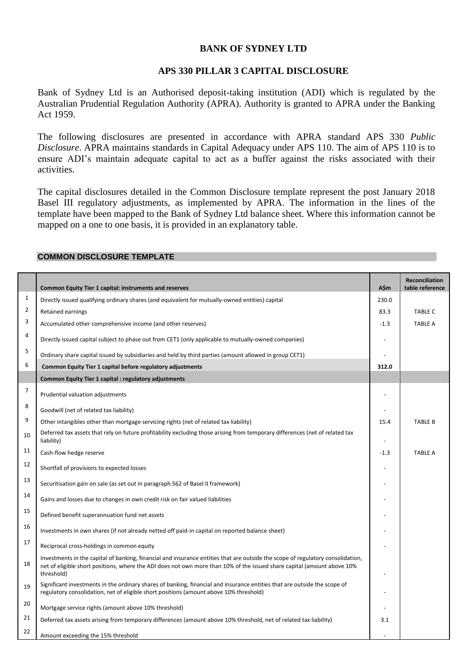# **BANK OF SYDNEY LTD**

### **APS 330 PILLAR 3 CAPITAL DISCLOSURE**

Bank of Sydney Ltd is an Authorised deposit-taking institution (ADI) which is regulated by the Australian Prudential Regulation Authority (APRA). Authority is granted to APRA under the Banking Act 1959.

The following disclosures are presented in accordance with APRA standard APS 330 *Public Disclosure*. APRA maintains standards in Capital Adequacy under APS 110. The aim of APS 110 is to ensure ADI's maintain adequate capital to act as a buffer against the risks associated with their activities.

The capital disclosures detailed in the Common Disclosure template represent the post January 2018 Basel III regulatory adjustments, as implemented by APRA. The information in the lines of the template have been mapped to the Bank of Sydney Ltd balance sheet. Where this information cannot be mapped on a one to one basis, it is provided in an explanatory table.

|                | <b>Common Equity Tier 1 capital: instruments and reserves</b>                                                                                                                                                                                                            | A\$m   | Reconciliation<br>table reference |
|----------------|--------------------------------------------------------------------------------------------------------------------------------------------------------------------------------------------------------------------------------------------------------------------------|--------|-----------------------------------|
| $\mathbf{1}$   | Directly issued qualifying ordinary shares (and equivalent for mutually-owned entities) capital                                                                                                                                                                          | 230.0  |                                   |
| $\overline{2}$ | Retained earnings                                                                                                                                                                                                                                                        | 83.3   | <b>TABLE C</b>                    |
| 3              | Accumulated other comprehensive income (and other reserves)                                                                                                                                                                                                              | $-1.3$ | <b>TABLE A</b>                    |
| 4              | Directly issued capital subject to phase out from CET1 (only applicable to mutually-owned companies)                                                                                                                                                                     |        |                                   |
| 5              | Ordinary share capital issued by subsidiaries and held by third parties (amount allowed in group CET1)                                                                                                                                                                   |        |                                   |
| 6              | Common Equity Tier 1 capital before regulatory adjustments                                                                                                                                                                                                               | 312.0  |                                   |
|                | Common Equity Tier 1 capital : regulatory adjustments                                                                                                                                                                                                                    |        |                                   |
| $\overline{7}$ | Prudential valuation adjustments                                                                                                                                                                                                                                         |        |                                   |
| 8              | Goodwill (net of related tax liability)                                                                                                                                                                                                                                  |        |                                   |
| 9              | Other intangibles other than mortgage servicing rights (net of related tax liability)                                                                                                                                                                                    | 15.4   | <b>TABLE B</b>                    |
| 10             | Deferred tax assets that rely on future profitability excluding those arising from temporary differences (net of related tax<br>liability)                                                                                                                               |        |                                   |
| 11             | Cash-flow hedge reserve                                                                                                                                                                                                                                                  | $-1.3$ | <b>TABLE A</b>                    |
| 12             | Shortfall of provisions to expected losses                                                                                                                                                                                                                               |        |                                   |
| 13             | Securitisation gain on sale (as set out in paragraph 562 of Basel II framework)                                                                                                                                                                                          |        |                                   |
| 14             | Gains and losses due to changes in own credit risk on fair valued liabilities                                                                                                                                                                                            |        |                                   |
| 15             | Defined benefit superannuation fund net assets                                                                                                                                                                                                                           |        |                                   |
| 16             | Investments in own shares (if not already netted off paid-in capital on reported balance sheet)                                                                                                                                                                          |        |                                   |
| 17             | Reciprocal cross-holdings in common equity                                                                                                                                                                                                                               |        |                                   |
| 18             | Investments in the capital of banking, financial and insurance entities that are outside the scope of regulatory consolidation,<br>net of eligible short positions, where the ADI does not own more than 10% of the issued share capital (amount above 10%<br>threshold) |        |                                   |
| 19             | Significant investments in the ordinary shares of banking, financial and insurance entities that are outside the scope of<br>regulatory consolidation, net of eligible short positions (amount above 10% threshold)                                                      |        |                                   |
| 20             | Mortgage service rights (amount above 10% threshold)                                                                                                                                                                                                                     |        |                                   |
| 21             | Deferred tax assets arising from temporary differences (amount above 10% threshold, net of related tax liability)                                                                                                                                                        | 3.1    |                                   |
| 22             | Amount exceeding the 15% threshold                                                                                                                                                                                                                                       |        |                                   |

## **COMMON DISCLOSURE TEMPLATE**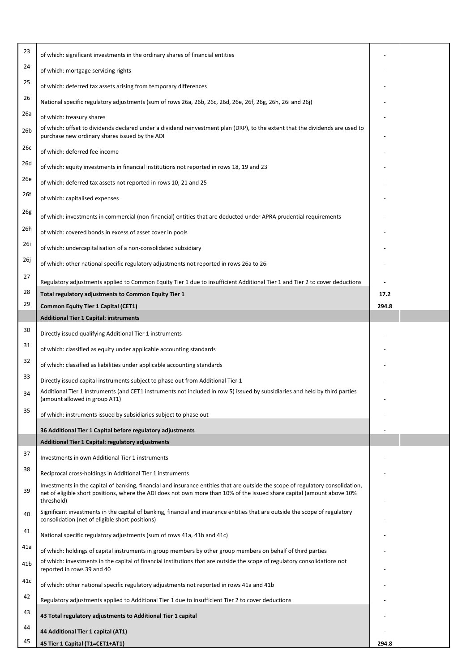| 23              | of which: significant investments in the ordinary shares of financial entities                                                                                                                                                                                           |       |  |
|-----------------|--------------------------------------------------------------------------------------------------------------------------------------------------------------------------------------------------------------------------------------------------------------------------|-------|--|
| 24              | of which: mortgage servicing rights                                                                                                                                                                                                                                      |       |  |
| 25              | of which: deferred tax assets arising from temporary differences                                                                                                                                                                                                         |       |  |
| 26              | National specific regulatory adjustments (sum of rows 26a, 26b, 26c, 26d, 26e, 26f, 26g, 26h, 26i and 26j)                                                                                                                                                               |       |  |
| 26a             | of which: treasury shares                                                                                                                                                                                                                                                |       |  |
| 26 <sub>b</sub> | of which: offset to dividends declared under a dividend reinvestment plan (DRP), to the extent that the dividends are used to<br>purchase new ordinary shares issued by the ADI                                                                                          |       |  |
| 26с             | of which: deferred fee income                                                                                                                                                                                                                                            |       |  |
| 26d             | of which: equity investments in financial institutions not reported in rows 18, 19 and 23                                                                                                                                                                                |       |  |
| 26e             | of which: deferred tax assets not reported in rows 10, 21 and 25                                                                                                                                                                                                         |       |  |
| 26f             | of which: capitalised expenses                                                                                                                                                                                                                                           |       |  |
| 26g             | of which: investments in commercial (non-financial) entities that are deducted under APRA prudential requirements                                                                                                                                                        |       |  |
| 26h             | of which: covered bonds in excess of asset cover in pools                                                                                                                                                                                                                |       |  |
| 26i             | of which: undercapitalisation of a non-consolidated subsidiary                                                                                                                                                                                                           |       |  |
| 26j             | of which: other national specific regulatory adjustments not reported in rows 26a to 26i                                                                                                                                                                                 |       |  |
| 27              | Regulatory adjustments applied to Common Equity Tier 1 due to insufficient Additional Tier 1 and Tier 2 to cover deductions                                                                                                                                              |       |  |
| 28              | Total regulatory adjustments to Common Equity Tier 1                                                                                                                                                                                                                     | 17.2  |  |
| 29              | Common Equity Tier 1 Capital (CET1)                                                                                                                                                                                                                                      | 294.8 |  |
|                 | <b>Additional Tier 1 Capital: instruments</b>                                                                                                                                                                                                                            |       |  |
| 30              | Directly issued qualifying Additional Tier 1 instruments                                                                                                                                                                                                                 |       |  |
| 31              | of which: classified as equity under applicable accounting standards                                                                                                                                                                                                     |       |  |
| 32              | of which: classified as liabilities under applicable accounting standards                                                                                                                                                                                                |       |  |
| 33              | Directly issued capital instruments subject to phase out from Additional Tier 1                                                                                                                                                                                          |       |  |
| 34              | Additional Tier 1 instruments (and CET1 instruments not included in row 5) issued by subsidiaries and held by third parties<br>(amount allowed in group AT1)                                                                                                             |       |  |
| 35              | of which: instruments issued by subsidiaries subject to phase out                                                                                                                                                                                                        |       |  |
|                 | 36 Additional Tier 1 Capital before regulatory adjustments                                                                                                                                                                                                               |       |  |
|                 | <b>Additional Tier 1 Capital: regulatory adjustments</b>                                                                                                                                                                                                                 |       |  |
| 37              | Investments in own Additional Tier 1 instruments                                                                                                                                                                                                                         |       |  |
| 38              | Reciprocal cross-holdings in Additional Tier 1 instruments                                                                                                                                                                                                               |       |  |
| 39              | Investments in the capital of banking, financial and insurance entities that are outside the scope of regulatory consolidation,<br>net of eligible short positions, where the ADI does not own more than 10% of the issued share capital (amount above 10%<br>threshold) |       |  |
| 40              | Significant investments in the capital of banking, financial and insurance entities that are outside the scope of regulatory<br>consolidation (net of eligible short positions)                                                                                          |       |  |
| 41              | National specific regulatory adjustments (sum of rows 41a, 41b and 41c)                                                                                                                                                                                                  |       |  |
| 41a             | of which: holdings of capital instruments in group members by other group members on behalf of third parties                                                                                                                                                             |       |  |
| 41 <sub>b</sub> | of which: investments in the capital of financial institutions that are outside the scope of regulatory consolidations not<br>reported in rows 39 and 40                                                                                                                 |       |  |
| 41c             | of which: other national specific regulatory adjustments not reported in rows 41a and 41b                                                                                                                                                                                |       |  |
| 42              | Regulatory adjustments applied to Additional Tier 1 due to insufficient Tier 2 to cover deductions                                                                                                                                                                       |       |  |
| 43              | 43 Total regulatory adjustments to Additional Tier 1 capital                                                                                                                                                                                                             |       |  |
| 44              | 44 Additional Tier 1 capital (AT1)                                                                                                                                                                                                                                       |       |  |
| 45              | 45 Tier 1 Capital (T1=CET1+AT1)                                                                                                                                                                                                                                          | 294.8 |  |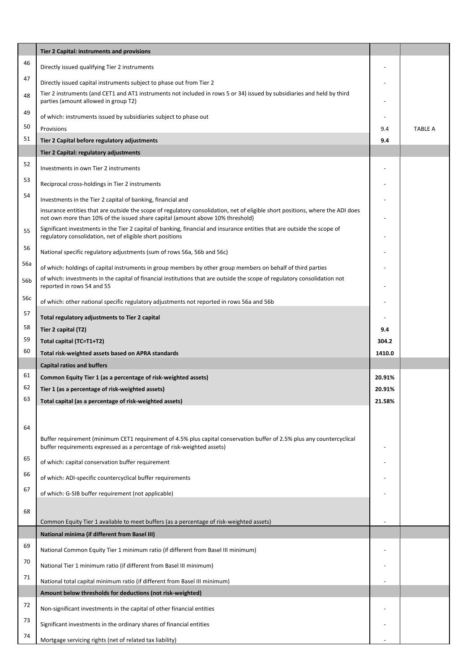|     | Tier 2 Capital: instruments and provisions                                                                                                                                                                       |        |                |
|-----|------------------------------------------------------------------------------------------------------------------------------------------------------------------------------------------------------------------|--------|----------------|
| 46  | Directly issued qualifying Tier 2 instruments                                                                                                                                                                    |        |                |
| 47  | Directly issued capital instruments subject to phase out from Tier 2                                                                                                                                             |        |                |
| 48  | Tier 2 instruments (and CET1 and AT1 instruments not included in rows 5 or 34) issued by subsidiaries and held by third<br>parties (amount allowed in group T2)                                                  |        |                |
| 49  | of which: instruments issued by subsidiaries subject to phase out                                                                                                                                                |        |                |
| 50  | Provisions                                                                                                                                                                                                       | 9.4    | <b>TABLE A</b> |
| 51  | Tier 2 Capital before regulatory adjustments                                                                                                                                                                     | 9.4    |                |
|     | Tier 2 Capital: regulatory adjustments                                                                                                                                                                           |        |                |
| 52  | Investments in own Tier 2 instruments                                                                                                                                                                            |        |                |
| 53  | Reciprocal cross-holdings in Tier 2 instruments                                                                                                                                                                  |        |                |
| 54  | Investments in the Tier 2 capital of banking, financial and                                                                                                                                                      |        |                |
|     | insurance entities that are outside the scope of regulatory consolidation, net of eligible short positions, where the ADI does<br>not own more than 10% of the issued share capital (amount above 10% threshold) |        |                |
| 55  | Significant investments in the Tier 2 capital of banking, financial and insurance entities that are outside the scope of<br>regulatory consolidation, net of eligible short positions                            |        |                |
| 56  | National specific regulatory adjustments (sum of rows 56a, 56b and 56c)                                                                                                                                          |        |                |
| 56a | of which: holdings of capital instruments in group members by other group members on behalf of third parties                                                                                                     |        |                |
| 56b | of which: investments in the capital of financial institutions that are outside the scope of regulatory consolidation not<br>reported in rows 54 and 55                                                          |        |                |
| 56c | of which: other national specific regulatory adjustments not reported in rows 56a and 56b                                                                                                                        |        |                |
| 57  | Total regulatory adjustments to Tier 2 capital                                                                                                                                                                   |        |                |
| 58  | Tier 2 capital (T2)                                                                                                                                                                                              | 9.4    |                |
| 59  | Total capital (TC=T1+T2)                                                                                                                                                                                         | 304.2  |                |
| 60  | Total risk-weighted assets based on APRA standards                                                                                                                                                               | 1410.0 |                |
|     | <b>Capital ratios and buffers</b>                                                                                                                                                                                |        |                |
| 61  | Common Equity Tier 1 (as a percentage of risk-weighted assets)                                                                                                                                                   | 20.91% |                |
| 62  | Tier 1 (as a percentage of risk-weighted assets)                                                                                                                                                                 | 20.91% |                |
| 63  | Total capital (as a percentage of risk-weighted assets)                                                                                                                                                          | 21.58% |                |
| 64  | Buffer requirement (minimum CET1 requirement of 4.5% plus capital conservation buffer of 2.5% plus any countercyclical                                                                                           |        |                |
| 65  | buffer requirements expressed as a percentage of risk-weighted assets)                                                                                                                                           |        |                |
| 66  | of which: capital conservation buffer requirement<br>of which: ADI-specific countercyclical buffer requirements                                                                                                  |        |                |
| 67  |                                                                                                                                                                                                                  |        |                |
|     | of which: G-SIB buffer requirement (not applicable)                                                                                                                                                              |        |                |
| 68  | Common Equity Tier 1 available to meet buffers (as a percentage of risk-weighted assets)                                                                                                                         |        |                |
|     | <b>National minima (if different from Basel III)</b>                                                                                                                                                             |        |                |
| 69  | National Common Equity Tier 1 minimum ratio (if different from Basel III minimum)                                                                                                                                |        |                |
| 70  | National Tier 1 minimum ratio (if different from Basel III minimum)                                                                                                                                              |        |                |
| 71  | National total capital minimum ratio (if different from Basel III minimum)                                                                                                                                       |        |                |
|     | Amount below thresholds for deductions (not risk-weighted)                                                                                                                                                       |        |                |
| 72  | Non-significant investments in the capital of other financial entities                                                                                                                                           |        |                |
| 73  | Significant investments in the ordinary shares of financial entities                                                                                                                                             |        |                |
| 74  | Mortgage servicing rights (net of related tax liability)                                                                                                                                                         |        |                |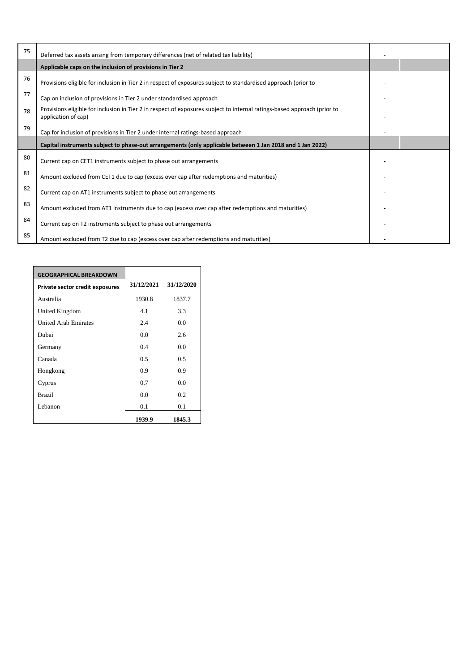| 75 | Deferred tax assets arising from temporary differences (net of related tax liability)                                                           |  |
|----|-------------------------------------------------------------------------------------------------------------------------------------------------|--|
|    | Applicable caps on the inclusion of provisions in Tier 2                                                                                        |  |
| 76 | Provisions eligible for inclusion in Tier 2 in respect of exposures subject to standardised approach (prior to                                  |  |
| 77 | Cap on inclusion of provisions in Tier 2 under standardised approach                                                                            |  |
| 78 | Provisions eligible for inclusion in Tier 2 in respect of exposures subject to internal ratings-based approach (prior to<br>application of cap) |  |
| 79 | Cap for inclusion of provisions in Tier 2 under internal ratings-based approach                                                                 |  |
|    | Capital instruments subject to phase-out arrangements (only applicable between 1 Jan 2018 and 1 Jan 2022)                                       |  |
| 80 | Current cap on CET1 instruments subject to phase out arrangements                                                                               |  |
| 81 | Amount excluded from CET1 due to cap (excess over cap after redemptions and maturities)                                                         |  |
| 82 | Current cap on AT1 instruments subject to phase out arrangements                                                                                |  |
| 83 | Amount excluded from AT1 instruments due to cap (excess over cap after redemptions and maturities)                                              |  |
| 84 | Current cap on T2 instruments subject to phase out arrangements                                                                                 |  |
| 85 | Amount excluded from T2 due to cap (excess over cap after redemptions and maturities)                                                           |  |

| <b>GEOGRAPHICAL BREAKDOWN</b>   |            |            |
|---------------------------------|------------|------------|
| Private sector credit exposures | 31/12/2021 | 31/12/2020 |
| Australia                       | 1930.8     | 1837.7     |
| United Kingdom                  | 4.1        | 3.3        |
| <b>United Arab Emirates</b>     | 2.4        | 0.0        |
| Dubai                           | 0.0        | 2.6        |
| Germany                         | 04         | 0.0        |
| Canada                          | 0.5        | 0.5        |
| Hongkong                        | 0.9        | 0.9        |
| Cyprus                          | 0.7        | 0.0        |
| <b>Brazil</b>                   | 0.0        | 0.2        |
| Lebanon                         | 0.1        | 0.1        |
|                                 | 1939.9     | 1845.3     |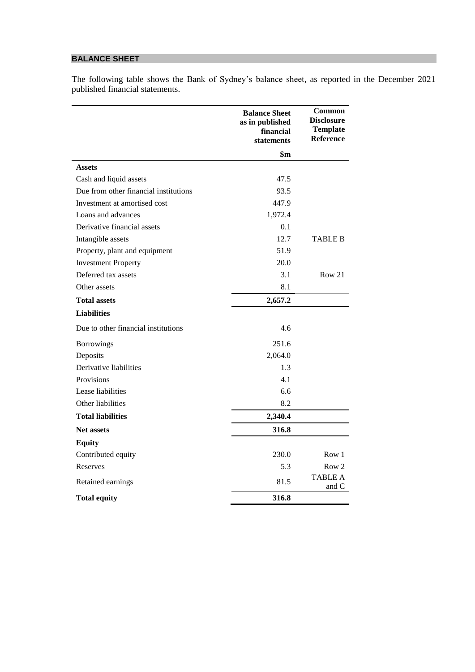# **BALANCE SHEET**

The following table shows the Bank of Sydney's balance sheet, as reported in the December 2021 published financial statements.

|                                       | <b>Balance Sheet</b><br>as in published<br>financial<br>statements | Common<br><b>Disclosure</b><br><b>Template</b><br>Reference |
|---------------------------------------|--------------------------------------------------------------------|-------------------------------------------------------------|
|                                       | $\mathbf{\$m}$                                                     |                                                             |
| <b>Assets</b>                         |                                                                    |                                                             |
| Cash and liquid assets                | 47.5                                                               |                                                             |
| Due from other financial institutions | 93.5                                                               |                                                             |
| Investment at amortised cost          | 447.9                                                              |                                                             |
| Loans and advances                    | 1,972.4                                                            |                                                             |
| Derivative financial assets           | 0.1                                                                |                                                             |
| Intangible assets                     | 12.7                                                               | <b>TABLE B</b>                                              |
| Property, plant and equipment         | 51.9                                                               |                                                             |
| <b>Investment Property</b>            | 20.0                                                               |                                                             |
| Deferred tax assets                   | 3.1                                                                | Row 21                                                      |
| Other assets                          | 8.1                                                                |                                                             |
| <b>Total assets</b>                   | 2,657.2                                                            |                                                             |
| <b>Liabilities</b>                    |                                                                    |                                                             |
| Due to other financial institutions   | 4.6                                                                |                                                             |
| <b>Borrowings</b>                     | 251.6                                                              |                                                             |
| Deposits                              | 2,064.0                                                            |                                                             |
| Derivative liabilities                | 1.3                                                                |                                                             |
| Provisions                            | 4.1                                                                |                                                             |
| Lease liabilities                     | 6.6                                                                |                                                             |
| Other liabilities                     | 8.2                                                                |                                                             |
| <b>Total liabilities</b>              | 2,340.4                                                            |                                                             |
| <b>Net assets</b>                     | 316.8                                                              |                                                             |
| <b>Equity</b>                         |                                                                    |                                                             |
| Contributed equity                    | 230.0                                                              | Row 1                                                       |
| Reserves                              | 5.3                                                                | Row 2                                                       |
| Retained earnings                     | 81.5                                                               | <b>TABLE A</b><br>and C                                     |
| <b>Total equity</b>                   | 316.8                                                              |                                                             |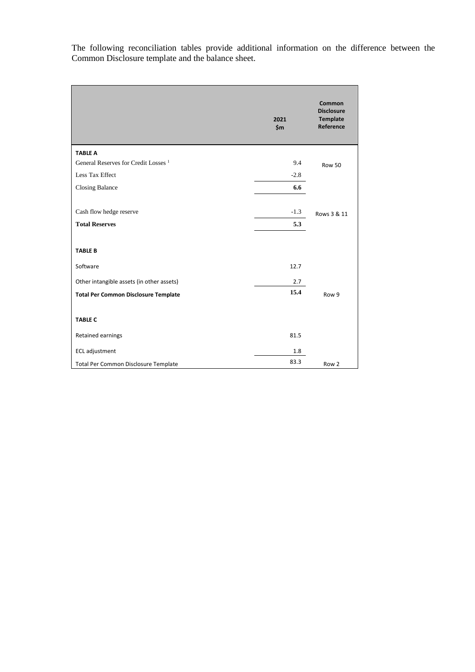The following reconciliation tables provide additional information on the difference between the Common Disclosure template and the balance sheet.

|                                                 | 2021<br>\$m\$ | <b>Common</b><br><b>Disclosure</b><br><b>Template</b><br>Reference |
|-------------------------------------------------|---------------|--------------------------------------------------------------------|
| <b>TABLE A</b>                                  |               |                                                                    |
| General Reserves for Credit Losses <sup>1</sup> | 9.4           | <b>Row 50</b>                                                      |
| Less Tax Effect                                 | $-2.8$        |                                                                    |
| <b>Closing Balance</b>                          | 6.6           |                                                                    |
|                                                 |               |                                                                    |
| Cash flow hedge reserve                         | $-1.3$        | Rows 3 & 11                                                        |
| <b>Total Reserves</b>                           | 5.3           |                                                                    |
|                                                 |               |                                                                    |
| <b>TABLE B</b>                                  |               |                                                                    |
| Software                                        | 12.7          |                                                                    |
| Other intangible assets (in other assets)       | 2.7           |                                                                    |
| <b>Total Per Common Disclosure Template</b>     | 15.4          | Row 9                                                              |
|                                                 |               |                                                                    |
| <b>TABLE C</b>                                  |               |                                                                    |
| Retained earnings                               | 81.5          |                                                                    |
| <b>ECL</b> adjustment                           | 1.8           |                                                                    |
| Total Per Common Disclosure Template            | 83.3          | Row 2                                                              |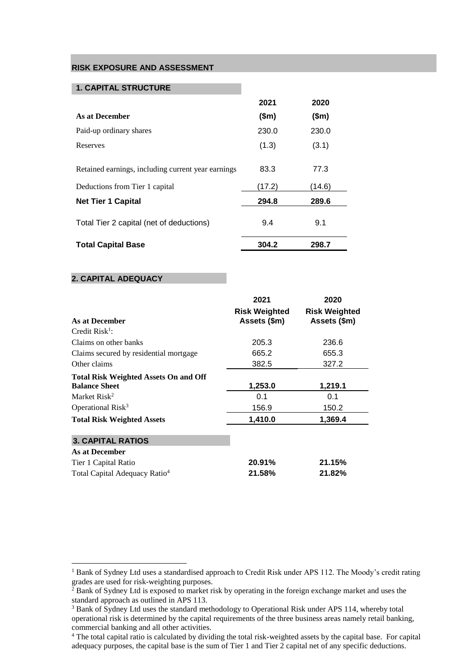### **RISK EXPOSURE AND ASSESSMENT**

#### **1. CAPITAL STRUCTURE**

|                                                    | 2021   | 2020   |  |
|----------------------------------------------------|--------|--------|--|
| As at December                                     | \$m\$  | \$m\$  |  |
| Paid-up ordinary shares                            | 230.0  | 230.0  |  |
| Reserves                                           | (1.3)  | (3.1)  |  |
| Retained earnings, including current year earnings | 83.3   | 77.3   |  |
| Deductions from Tier 1 capital                     | (17.2) | (14.6) |  |
| <b>Net Tier 1 Capital</b>                          | 294.8  | 289.6  |  |
| Total Tier 2 capital (net of deductions)           | 9.4    | 9.1    |  |
| <b>Total Capital Base</b>                          | 304.2  | 298.7  |  |

#### **2. CAPITAL ADEQUACY**

 $\overline{a}$ 

|                                                                      | 2021                                 | 2020                                 |
|----------------------------------------------------------------------|--------------------------------------|--------------------------------------|
| <b>As at December</b>                                                | <b>Risk Weighted</b><br>Assets (\$m) | <b>Risk Weighted</b><br>Assets (\$m) |
| Credit $Risk1$ :                                                     |                                      |                                      |
| Claims on other banks                                                | 205.3                                | 236.6                                |
| Claims secured by residential mortgage                               | 665.2                                | 655.3                                |
| Other claims                                                         | 382.5                                | 327.2                                |
| <b>Total Risk Weighted Assets On and Off</b><br><b>Balance Sheet</b> | 1,253.0                              | 1,219.1                              |
| Market Risk <sup>2</sup>                                             | 0.1                                  | 0.1                                  |
| Operational Risk <sup>3</sup>                                        | 156.9                                | 150.2                                |
| <b>Total Risk Weighted Assets</b>                                    | 1,410.0                              | 1,369.4                              |
| <b>3. CAPITAL RATIOS</b>                                             |                                      |                                      |
| As at December                                                       |                                      |                                      |
| Tier 1 Capital Ratio                                                 | 20.91%                               | 21.15%                               |
| Total Capital Adequacy Ratio <sup>4</sup>                            | 21.58%                               | 21.82%                               |

<sup>&</sup>lt;sup>1</sup> Bank of Sydney Ltd uses a standardised approach to Credit Risk under APS 112. The Moody's credit rating grades are used for risk-weighting purposes.

 $2$  Bank of Sydney Ltd is exposed to market risk by operating in the foreign exchange market and uses the standard approach as outlined in APS 113.

<sup>&</sup>lt;sup>3</sup> Bank of Sydney Ltd uses the standard methodology to Operational Risk under APS 114, whereby total operational risk is determined by the capital requirements of the three business areas namely retail banking, commercial banking and all other activities.

<sup>4</sup> The total capital ratio is calculated by dividing the total risk-weighted assets by the capital base. For capital adequacy purposes, the capital base is the sum of Tier 1 and Tier 2 capital net of any specific deductions.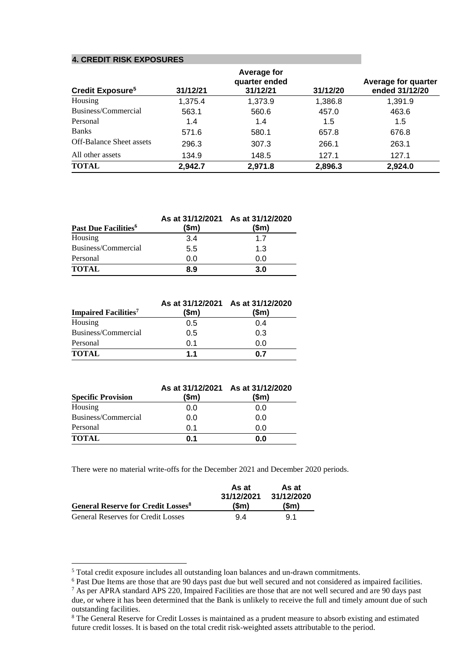#### **4. CREDIT RISK EXPOSURES**

|                                    |          | Average for               |          |                                       |
|------------------------------------|----------|---------------------------|----------|---------------------------------------|
| <b>Credit Exposure<sup>5</sup></b> | 31/12/21 | quarter ended<br>31/12/21 | 31/12/20 | Average for quarter<br>ended 31/12/20 |
| Housing                            | 1,375.4  | 1,373.9                   | 1,386.8  | 1,391.9                               |
| Business/Commercial                | 563.1    | 560.6                     | 457.0    | 463.6                                 |
| Personal                           | 1.4      | 1.4                       | 1.5      | 1.5                                   |
| <b>Banks</b>                       | 571.6    | 580.1                     | 657.8    | 676.8                                 |
| <b>Off-Balance Sheet assets</b>    | 296.3    | 307.3                     | 266.1    | 263.1                                 |
| All other assets                   | 134.9    | 148.5                     | 127.1    | 127.1                                 |
| <b>TOTAL</b>                       | 2.942.7  | 2,971.8                   | 2,896.3  | 2.924.0                               |

|                                         |       | As at 31/12/2021 As at 31/12/2020 |
|-----------------------------------------|-------|-----------------------------------|
| <b>Past Due Facilities</b> <sup>6</sup> | (\$m) | (\$m)                             |
| Housing                                 | 3.4   | 1.7                               |
| Business/Commercial                     | 5.5   | 1.3                               |
| Personal                                | 0.0   | 0.0                               |
| <b>TOTAL</b>                            | 8.9   | 3.0                               |

| <b>Impaired Facilities<sup>7</sup></b> | \$m\$ | As at 31/12/2021 As at 31/12/2020<br>\$m\$ |
|----------------------------------------|-------|--------------------------------------------|
| Housing                                | 0.5   | 0.4                                        |
| Business/Commercial                    | 0.5   | 0.3                                        |
| Personal                               | 0.1   | 0.0                                        |
| <b>TOTAL</b>                           | 1.1   | በ 7                                        |

| <b>Specific Provision</b> | \$m\$ | As at 31/12/2021 As at 31/12/2020<br>$(\mathsf{Sm})$ |
|---------------------------|-------|------------------------------------------------------|
| Housing                   | 0.0   | 0.0                                                  |
| Business/Commercial       | 0.0   | 0.0                                                  |
| Personal                  | 0.1   | 0.0                                                  |
| <b>TOTAL</b>              | 0.1   | 0.0                                                  |

There were no material write-offs for the December 2021 and December 2020 periods.

|                                                       | As at               | As at               |  |
|-------------------------------------------------------|---------------------|---------------------|--|
| <b>General Reserve for Credit Losses</b> <sup>8</sup> | 31/12/2021<br>(\$m) | 31/12/2020<br>(\$m) |  |
| <b>General Reserves for Credit Losses</b>             | 94                  | 91                  |  |

 $\overline{a}$ 

<sup>&</sup>lt;sup>5</sup> Total credit exposure includes all outstanding loan balances and un-drawn commitments.

<sup>&</sup>lt;sup>6</sup> Past Due Items are those that are 90 days past due but well secured and not considered as impaired facilities.

<sup>7</sup> As per APRA standard APS 220, Impaired Facilities are those that are not well secured and are 90 days past due, or where it has been determined that the Bank is unlikely to receive the full and timely amount due of such outstanding facilities.

<sup>&</sup>lt;sup>8</sup> The General Reserve for Credit Losses is maintained as a prudent measure to absorb existing and estimated future credit losses. It is based on the total credit risk-weighted assets attributable to the period.